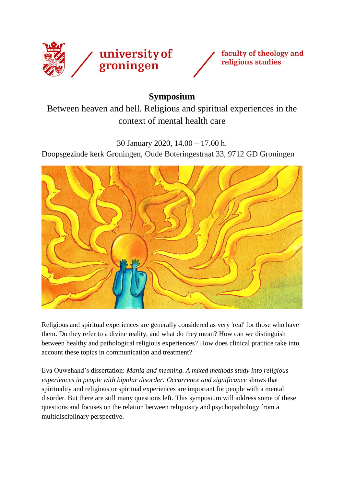



## **Symposium**

Between heaven and hell. Religious and spiritual experiences in the context of mental health care

30 January 2020, 14.00 – 17.00 h.

Doopsgezinde kerk Groningen, Oude Boteringestraat 33, 9712 GD Groningen



Religious and spiritual experiences are generally considered as very 'real' for those who have them. Do they refer to a divine reality, and what do they mean? How can we distinguish between healthy and pathological religious experiences? How does clinical practice take into account these topics in communication and treatment?

Eva Ouwehand's dissertation: *Mania and meaning. A mixed methods study into religious experiences in people with bipolar disorder: Occurrence and significance* shows that spirituality and religious or spiritual experiences are important for people with a mental disorder. But there are still many questions left. This symposium will address some of these questions and focuses on the relation between religiosity and psychopathology from a multidisciplinary perspective.